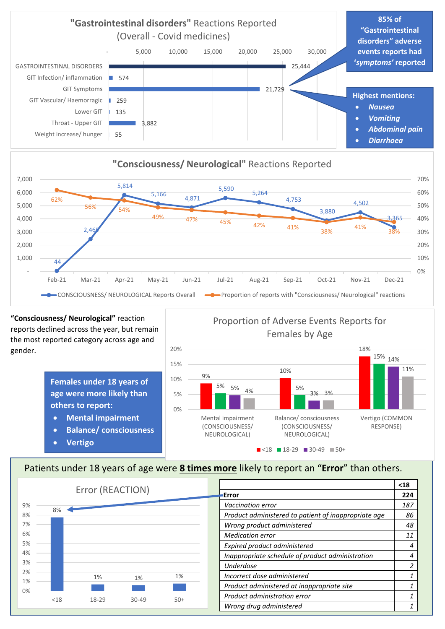





**"Consciousness/ Neurological"** reaction reports declined across the year, but remain the most reported category across age and gender.

> **Females under 18 years of age were more likely than others to report:**

- **Mental impairment**
- **Balance/ consciousness**
- **Vertigo**





## Patients under 18 years of age were **8 times more** likely to report an "**Error**" than others.